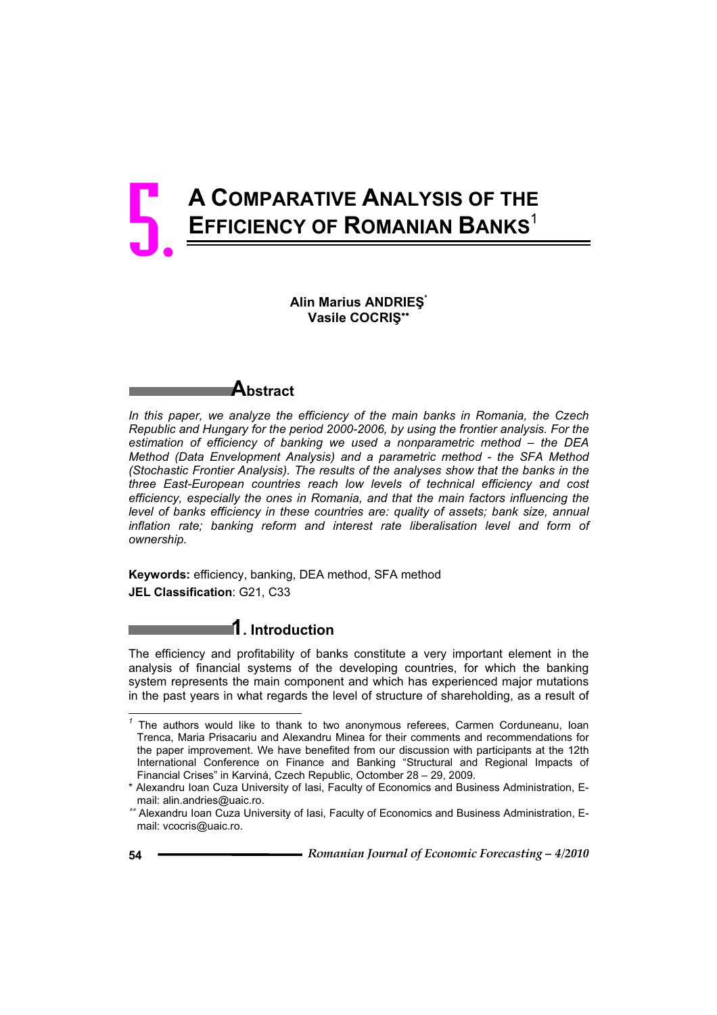# **A COMPARATIVE ANALYSIS OF THE EFFICIENCY OF ROMANIAN BANKS**<sup>1</sup> 5.

## **Alin Marius ANDRIEù\* Vasile COCRIù**



*In this paper, we analyze the efficiency of the main banks in Romania, the Czech Republic and Hungary for the period 2000-2006, by using the frontier analysis. For the estimation of efficiency of banking we used a nonparametric method – the DEA Method (Data Envelopment Analysis) and a parametric method - the SFA Method (Stochastic Frontier Analysis). The results of the analyses show that the banks in the three East-European countries reach low levels of technical efficiency and cost efficiency, especially the ones in Romania, and that the main factors influencing the level of banks efficiency in these countries are: quality of assets; bank size, annual* inflation rate; banking reform and interest rate liberalisation level and form of *ownership.*

**Keywords:** efficiency, banking, DEA method, SFA method **JEL Classification**: G21, C33

# **1. Introduction**

The efficiency and profitability of banks constitute a very important element in the analysis of financial systems of the developing countries, for which the banking system represents the main component and which has experienced major mutations in the past years in what regards the level of structure of shareholding, as a result of

 $\overline{a}$ 

*<sup>1</sup>* The authors would like to thank to two anonymous referees, Carmen Corduneanu, Ioan Trenca, Maria Prisacariu and Alexandru Minea for their comments and recommendations for the paper improvement. We have benefited from our discussion with participants at the 12th International Conference on Finance and Banking "Structural and Regional Impacts of Financial Crises" in Karviná, Czech Republic, Octomber 28 – 29, 2009.

<sup>\*</sup> Alexandru Ioan Cuza University of Iasi, Faculty of Economics and Business Administration, Email: alin.andries@uaic.ro.

 Alexandru Ioan Cuza University of Iasi, Faculty of Economics and Business Administration, Email: vcocris@uaic.ro.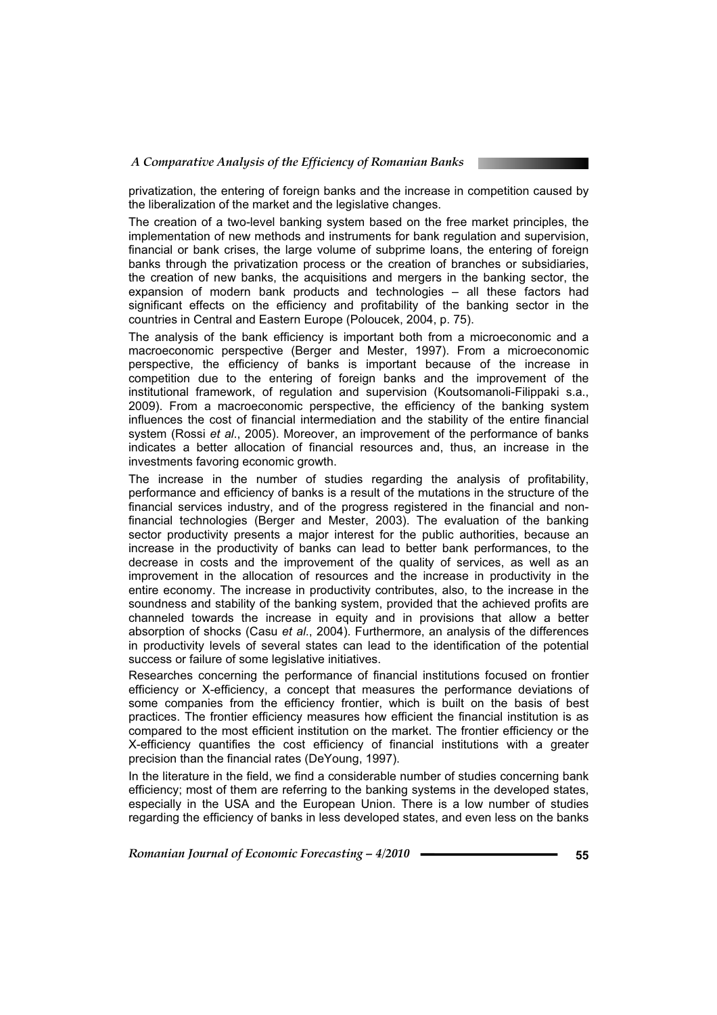privatization, the entering of foreign banks and the increase in competition caused by the liberalization of the market and the legislative changes.

The creation of a two-level banking system based on the free market principles, the implementation of new methods and instruments for bank regulation and supervision, financial or bank crises, the large volume of subprime loans, the entering of foreign banks through the privatization process or the creation of branches or subsidiaries, the creation of new banks, the acquisitions and mergers in the banking sector, the expansion of modern bank products and technologies – all these factors had significant effects on the efficiency and profitability of the banking sector in the countries in Central and Eastern Europe (Poloucek, 2004, p. 75).

The analysis of the bank efficiency is important both from a microeconomic and a macroeconomic perspective (Berger and Mester, 1997). From a microeconomic perspective, the efficiency of banks is important because of the increase in competition due to the entering of foreign banks and the improvement of the institutional framework, of regulation and supervision (Koutsomanoli-Filippaki s.a., 2009). From a macroeconomic perspective, the efficiency of the banking system influences the cost of financial intermediation and the stability of the entire financial system (Rossi *et al*., 2005). Moreover, an improvement of the performance of banks indicates a better allocation of financial resources and, thus, an increase in the investments favoring economic growth.

The increase in the number of studies regarding the analysis of profitability, performance and efficiency of banks is a result of the mutations in the structure of the financial services industry, and of the progress registered in the financial and nonfinancial technologies (Berger and Mester, 2003). The evaluation of the banking sector productivity presents a major interest for the public authorities, because an increase in the productivity of banks can lead to better bank performances, to the decrease in costs and the improvement of the quality of services, as well as an improvement in the allocation of resources and the increase in productivity in the entire economy. The increase in productivity contributes, also, to the increase in the soundness and stability of the banking system, provided that the achieved profits are channeled towards the increase in equity and in provisions that allow a better absorption of shocks (Casu *et al*., 2004). Furthermore, an analysis of the differences in productivity levels of several states can lead to the identification of the potential success or failure of some legislative initiatives.

Researches concerning the performance of financial institutions focused on frontier efficiency or X-efficiency, a concept that measures the performance deviations of some companies from the efficiency frontier, which is built on the basis of best practices. The frontier efficiency measures how efficient the financial institution is as compared to the most efficient institution on the market. The frontier efficiency or the X-efficiency quantifies the cost efficiency of financial institutions with a greater precision than the financial rates (DeYoung, 1997).

In the literature in the field, we find a considerable number of studies concerning bank efficiency; most of them are referring to the banking systems in the developed states, especially in the USA and the European Union. There is a low number of studies regarding the efficiency of banks in less developed states, and even less on the banks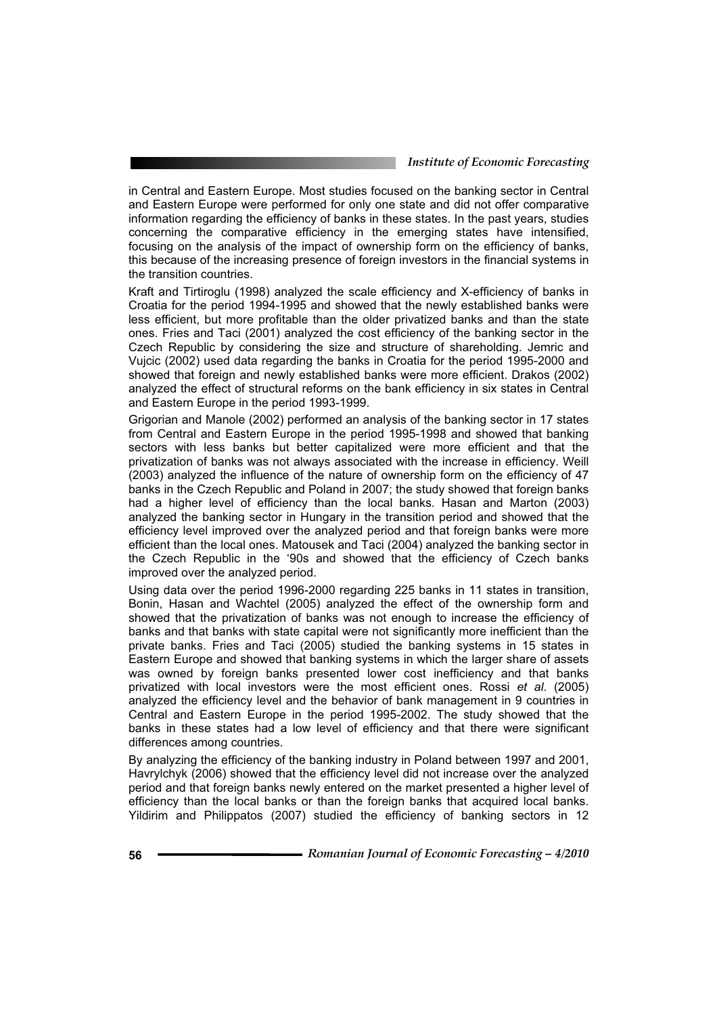in Central and Eastern Europe. Most studies focused on the banking sector in Central and Eastern Europe were performed for only one state and did not offer comparative information regarding the efficiency of banks in these states. In the past years, studies concerning the comparative efficiency in the emerging states have intensified, focusing on the analysis of the impact of ownership form on the efficiency of banks, this because of the increasing presence of foreign investors in the financial systems in the transition countries.

Kraft and Tirtiroglu (1998) analyzed the scale efficiency and X-efficiency of banks in Croatia for the period 1994-1995 and showed that the newly established banks were less efficient, but more profitable than the older privatized banks and than the state ones. Fries and Taci (2001) analyzed the cost efficiency of the banking sector in the Czech Republic by considering the size and structure of shareholding. Jemric and Vujcic (2002) used data regarding the banks in Croatia for the period 1995-2000 and showed that foreign and newly established banks were more efficient. Drakos (2002) analyzed the effect of structural reforms on the bank efficiency in six states in Central and Eastern Europe in the period 1993-1999.

Grigorian and Manole (2002) performed an analysis of the banking sector in 17 states from Central and Eastern Europe in the period 1995-1998 and showed that banking sectors with less banks but better capitalized were more efficient and that the privatization of banks was not always associated with the increase in efficiency. Weill (2003) analyzed the influence of the nature of ownership form on the efficiency of 47 banks in the Czech Republic and Poland in 2007; the study showed that foreign banks had a higher level of efficiency than the local banks. Hasan and Marton (2003) analyzed the banking sector in Hungary in the transition period and showed that the efficiency level improved over the analyzed period and that foreign banks were more efficient than the local ones. Matousek and Taci (2004) analyzed the banking sector in the Czech Republic in the '90s and showed that the efficiency of Czech banks improved over the analyzed period.

Using data over the period 1996-2000 regarding 225 banks in 11 states in transition, Bonin, Hasan and Wachtel (2005) analyzed the effect of the ownership form and showed that the privatization of banks was not enough to increase the efficiency of banks and that banks with state capital were not significantly more inefficient than the private banks. Fries and Taci (2005) studied the banking systems in 15 states in Eastern Europe and showed that banking systems in which the larger share of assets was owned by foreign banks presented lower cost inefficiency and that banks privatized with local investors were the most efficient ones. Rossi *et al*. (2005) analyzed the efficiency level and the behavior of bank management in 9 countries in Central and Eastern Europe in the period 1995-2002. The study showed that the banks in these states had a low level of efficiency and that there were significant differences among countries.

By analyzing the efficiency of the banking industry in Poland between 1997 and 2001, Havrylchyk (2006) showed that the efficiency level did not increase over the analyzed period and that foreign banks newly entered on the market presented a higher level of efficiency than the local banks or than the foreign banks that acquired local banks. Yildirim and Philippatos (2007) studied the efficiency of banking sectors in 12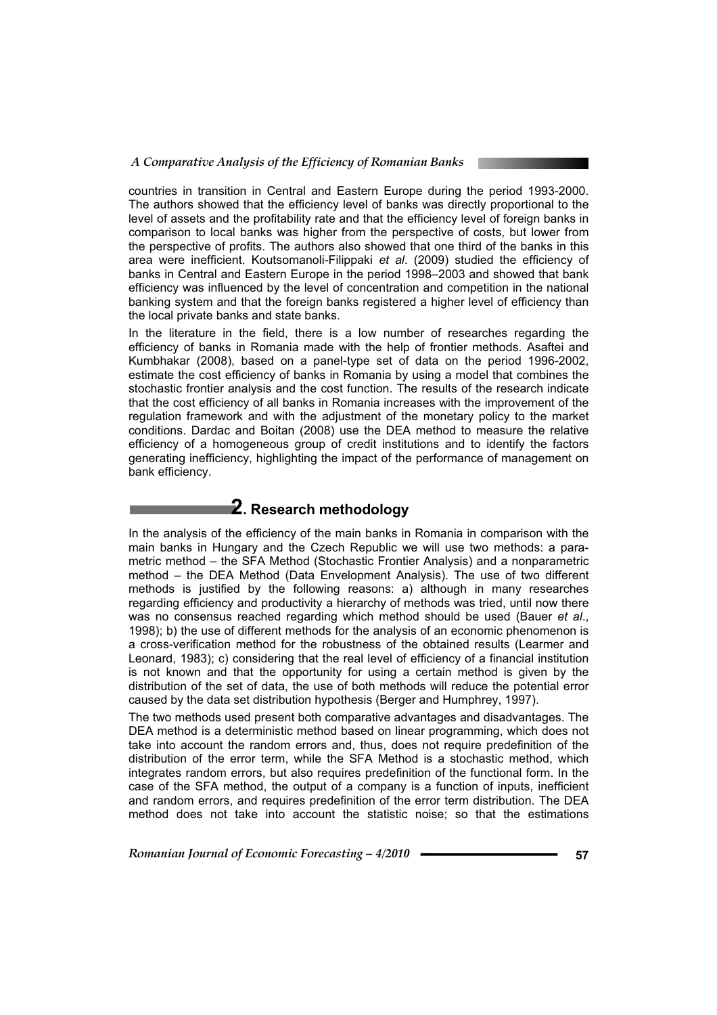#### *A Comparative Analysis of the Efficiency of Romanian Banks*

countries in transition in Central and Eastern Europe during the period 1993-2000. The authors showed that the efficiency level of banks was directly proportional to the level of assets and the profitability rate and that the efficiency level of foreign banks in comparison to local banks was higher from the perspective of costs, but lower from the perspective of profits. The authors also showed that one third of the banks in this area were inefficient. Koutsomanoli-Filippaki *et al*. (2009) studied the efficiency of banks in Central and Eastern Europe in the period 1998–2003 and showed that bank efficiency was influenced by the level of concentration and competition in the national banking system and that the foreign banks registered a higher level of efficiency than the local private banks and state banks.

In the literature in the field, there is a low number of researches regarding the efficiency of banks in Romania made with the help of frontier methods. Asaftei and Kumbhakar (2008), based on a panel-type set of data on the period 1996-2002, estimate the cost efficiency of banks in Romania by using a model that combines the stochastic frontier analysis and the cost function. The results of the research indicate that the cost efficiency of all banks in Romania increases with the improvement of the regulation framework and with the adjustment of the monetary policy to the market conditions. Dardac and Boitan (2008) use the DEA method to measure the relative efficiency of a homogeneous group of credit institutions and to identify the factors generating inefficiency, highlighting the impact of the performance of management on bank efficiency.

# **2. Research methodology**

In the analysis of the efficiency of the main banks in Romania in comparison with the main banks in Hungary and the Czech Republic we will use two methods: a parametric method – the SFA Method (Stochastic Frontier Analysis) and a nonparametric method – the DEA Method (Data Envelopment Analysis). The use of two different methods is justified by the following reasons: a) although in many researches regarding efficiency and productivity a hierarchy of methods was tried, until now there was no consensus reached regarding which method should be used (Bauer *et al*., 1998); b) the use of different methods for the analysis of an economic phenomenon is a cross-verification method for the robustness of the obtained results (Learmer and Leonard, 1983); c) considering that the real level of efficiency of a financial institution is not known and that the opportunity for using a certain method is given by the distribution of the set of data, the use of both methods will reduce the potential error caused by the data set distribution hypothesis (Berger and Humphrey, 1997).

The two methods used present both comparative advantages and disadvantages. The DEA method is a deterministic method based on linear programming, which does not take into account the random errors and, thus, does not require predefinition of the distribution of the error term, while the SFA Method is a stochastic method, which integrates random errors, but also requires predefinition of the functional form. In the case of the SFA method, the output of a company is a function of inputs, inefficient and random errors, and requires predefinition of the error term distribution. The DEA method does not take into account the statistic noise; so that the estimations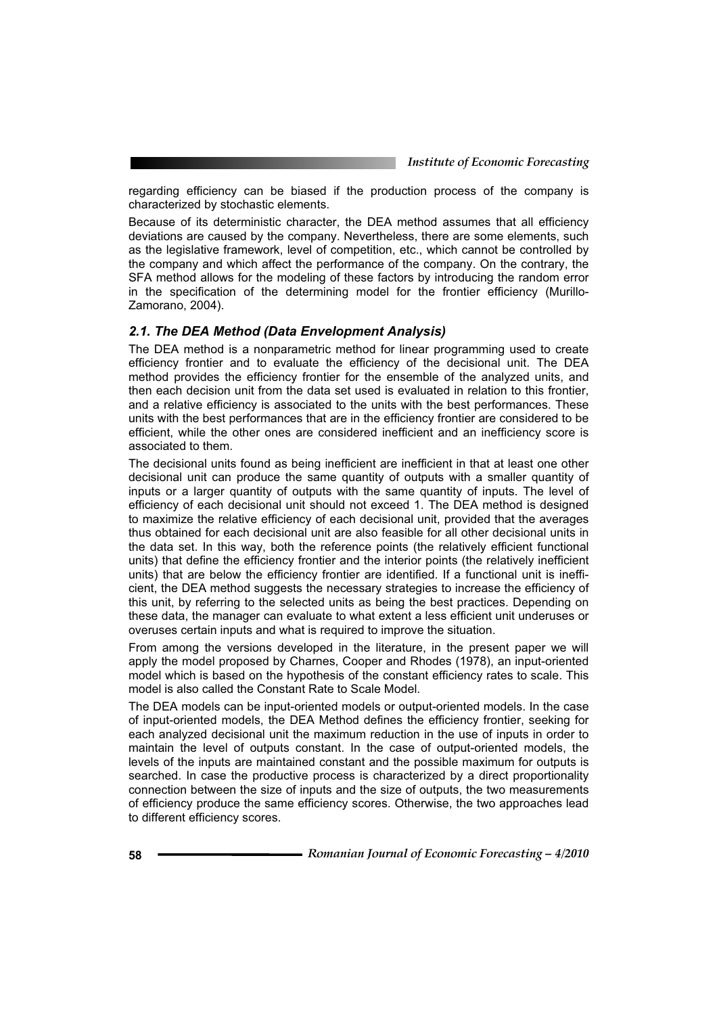regarding efficiency can be biased if the production process of the company is characterized by stochastic elements.

Because of its deterministic character, the DEA method assumes that all efficiency deviations are caused by the company. Nevertheless, there are some elements, such as the legislative framework, level of competition, etc., which cannot be controlled by the company and which affect the performance of the company. On the contrary, the SFA method allows for the modeling of these factors by introducing the random error in the specification of the determining model for the frontier efficiency (Murillo-Zamorano, 2004).

### *2.1. The DEA Method (Data Envelopment Analysis)*

The DEA method is a nonparametric method for linear programming used to create efficiency frontier and to evaluate the efficiency of the decisional unit. The DEA method provides the efficiency frontier for the ensemble of the analyzed units, and then each decision unit from the data set used is evaluated in relation to this frontier, and a relative efficiency is associated to the units with the best performances. These units with the best performances that are in the efficiency frontier are considered to be efficient, while the other ones are considered inefficient and an inefficiency score is associated to them.

The decisional units found as being inefficient are inefficient in that at least one other decisional unit can produce the same quantity of outputs with a smaller quantity of inputs or a larger quantity of outputs with the same quantity of inputs. The level of efficiency of each decisional unit should not exceed 1. The DEA method is designed to maximize the relative efficiency of each decisional unit, provided that the averages thus obtained for each decisional unit are also feasible for all other decisional units in the data set. In this way, both the reference points (the relatively efficient functional units) that define the efficiency frontier and the interior points (the relatively inefficient units) that are below the efficiency frontier are identified. If a functional unit is inefficient, the DEA method suggests the necessary strategies to increase the efficiency of this unit, by referring to the selected units as being the best practices. Depending on these data, the manager can evaluate to what extent a less efficient unit underuses or overuses certain inputs and what is required to improve the situation.

From among the versions developed in the literature, in the present paper we will apply the model proposed by Charnes, Cooper and Rhodes (1978), an input-oriented model which is based on the hypothesis of the constant efficiency rates to scale. This model is also called the Constant Rate to Scale Model.

The DEA models can be input-oriented models or output-oriented models. In the case of input-oriented models, the DEA Method defines the efficiency frontier, seeking for each analyzed decisional unit the maximum reduction in the use of inputs in order to maintain the level of outputs constant. In the case of output-oriented models, the levels of the inputs are maintained constant and the possible maximum for outputs is searched. In case the productive process is characterized by a direct proportionality connection between the size of inputs and the size of outputs, the two measurements of efficiency produce the same efficiency scores. Otherwise, the two approaches lead to different efficiency scores.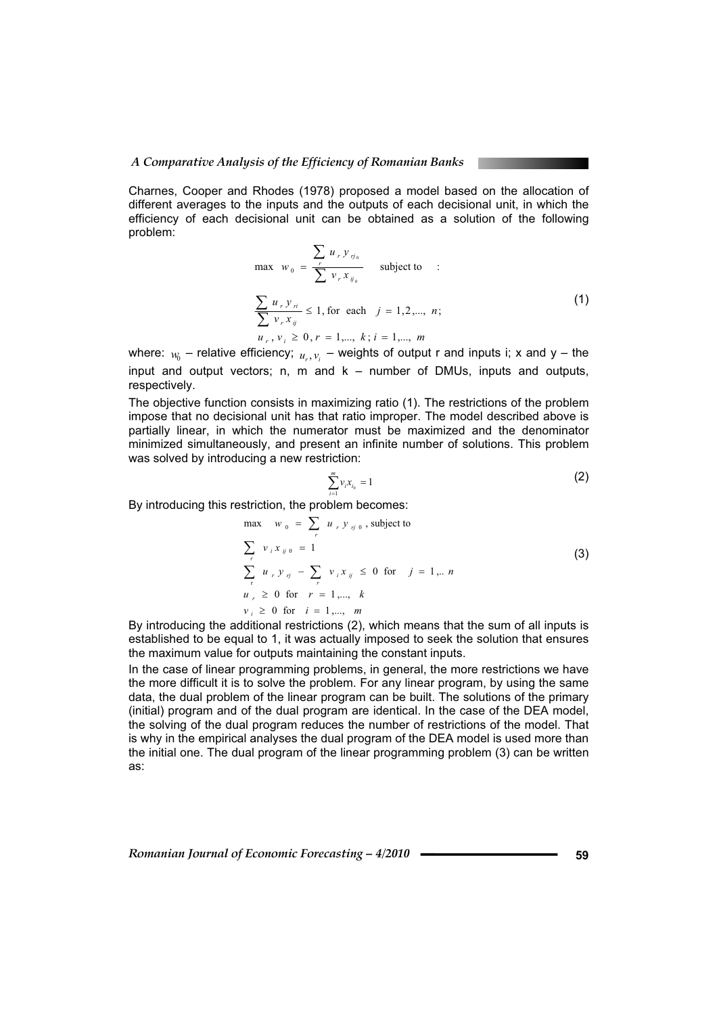#### *A Comparative Analysis of the Efficiency of Romanian Banks*

Charnes, Cooper and Rhodes (1978) proposed a model based on the allocation of different averages to the inputs and the outputs of each decisional unit, in which the efficiency of each decisional unit can be obtained as a solution of the following problem:

$$
\max_{w_0} w_0 = \frac{\sum_{r} u_r y_{\eta_0}}{\sum_{r} v_r x_{\eta_0}} \quad \text{subject to} \quad : \\ \frac{\sum_{r} u_r y_{\eta}}{\sum_{r} v_r x_{\eta}} \le 1, \text{ for each } j = 1, 2, ..., n; \\ u_r, v_i \ge 0, r = 1, ..., k; i = 1, ..., m \quad (1)
$$

where:  $w_0$  – relative efficiency;  $u_0, v_1$  – weights of output r and inputs i; x and y – the input and output vectors; n, m and k – number of DMUs, inputs and outputs, respectively.

The objective function consists in maximizing ratio (1). The restrictions of the problem impose that no decisional unit has that ratio improper. The model described above is partially linear, in which the numerator must be maximized and the denominator minimized simultaneously, and present an infinite number of solutions. This problem was solved by introducing a new restriction:

$$
\sum_{i=1}^{m} v_i x_{i_0} = 1
$$
 (2)

By introducing this restriction, the problem becomes:

$$
\max_{r} w_0 = \sum_{r} u_r y_{rj0}, \text{ subject to}
$$
\n
$$
\sum_{r} v_i x_{ij0} = 1
$$
\n
$$
\sum_{r} u_r y_{rj} - \sum_{r} v_i x_{ij} \le 0 \text{ for } j = 1, \dots n
$$
\n
$$
u_r \ge 0 \text{ for } r = 1, \dots, k
$$
\n
$$
v_i \ge 0 \text{ for } i = 1, \dots, m
$$
\n(3)

By introducing the additional restrictions (2), which means that the sum of all inputs is established to be equal to 1, it was actually imposed to seek the solution that ensures the maximum value for outputs maintaining the constant inputs.

In the case of linear programming problems, in general, the more restrictions we have the more difficult it is to solve the problem. For any linear program, by using the same data, the dual problem of the linear program can be built. The solutions of the primary (initial) program and of the dual program are identical. In the case of the DEA model, the solving of the dual program reduces the number of restrictions of the model. That is why in the empirical analyses the dual program of the DEA model is used more than the initial one. The dual program of the linear programming problem (3) can be written as: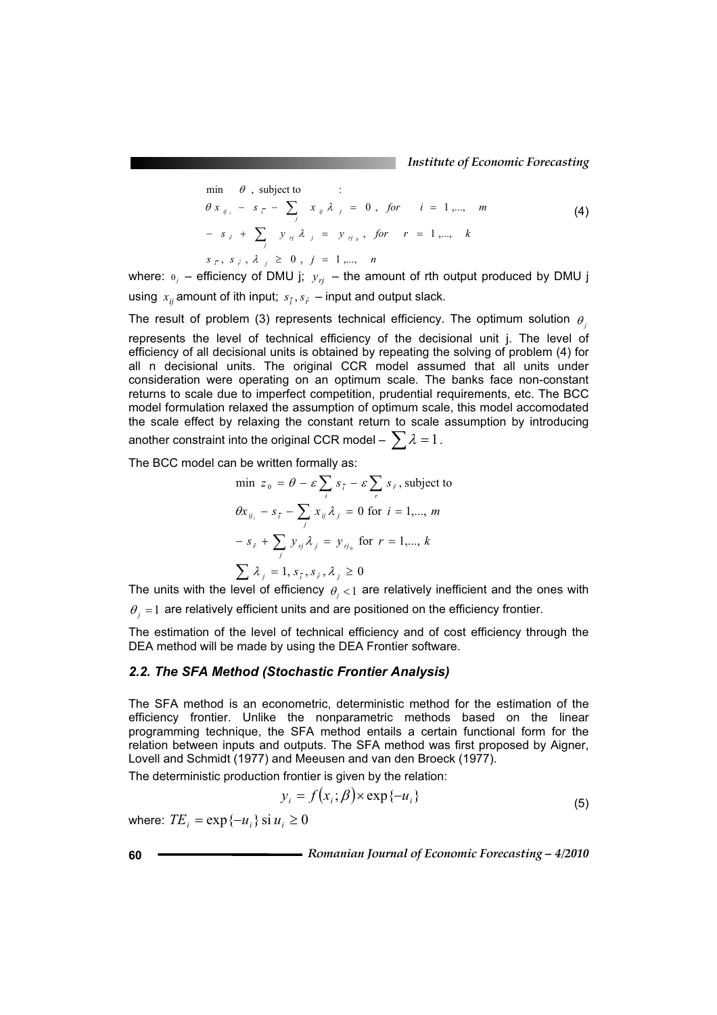$$
\begin{array}{ll}\n\text{min} & \theta \text{ , subject to } & \vdots \\
\theta \, x_{ij_i} - s_{\overline{i}} - \sum_j x_{ij} \lambda_j = 0 \text{ , for } i = 1, \dots, m \\
\hline\n- s_{\hat{i}} + \sum_j y_{ij} \lambda_j = y_{ij_0}, \text{ for } r = 1, \dots, k \\
s_{\overline{i}}, s_{\hat{i}}, \lambda_j \geq 0 \text{ , } j = 1, \dots, n\n\end{array}\n\tag{4}
$$

where:  $\theta_j$  – efficiency of DMU j;  $y_{rj}$  – the amount of rth output produced by DMU j using  $x_{ij}$  amount of ith input;  $s_{\tilde{i}}, s_{\tilde{i}}$  – input and output slack.

The result of problem (3) represents technical efficiency. The optimum solution  $\theta$ represents the level of technical efficiency of the decisional unit j. The level of efficiency of all decisional units is obtained by repeating the solving of problem (4) for all n decisional units. The original CCR model assumed that all units under consideration were operating on an optimum scale. The banks face non-constant returns to scale due to imperfect competition, prudential requirements, etc. The BCC model formulation relaxed the assumption of optimum scale, this model accomodated the scale effect by relaxing the constant return to scale assumption by introducing another constraint into the original CCR model –  $\sum \lambda = 1$ .

The BCC model can be written formally as:

$$
\begin{aligned}\n\min \ z_0 &= \theta - \varepsilon \sum_i s_{\bar{i}} - \varepsilon \sum_r s_{\bar{r}}, \text{ subject to} \\
\theta x_{ij_i} - s_{\bar{i}} - \sum_j x_{ij} \lambda_j &= 0 \text{ for } i = 1, \dots, m \\
-s_{\bar{r}} + \sum_j y_{ij} \lambda_j &= y_{\eta_0} \text{ for } r = 1, \dots, k \\
\sum \lambda_j &= 1, s_{\bar{i}}, s_{\bar{r}}, \lambda_j \ge 0\n\end{aligned}
$$

The units with the level of efficiency  $\theta_i < 1$  are relatively inefficient and the ones with

 $\theta_i = 1$  are relatively efficient units and are positioned on the efficiency frontier.

The estimation of the level of technical efficiency and of cost efficiency through the DEA method will be made by using the DEA Frontier software.

### *2.2. The SFA Method (Stochastic Frontier Analysis)*

The SFA method is an econometric, deterministic method for the estimation of the efficiency frontier. Unlike the nonparametric methods based on the linear programming technique, the SFA method entails a certain functional form for the relation between inputs and outputs. The SFA method was first proposed by Aigner, Lovell and Schmidt (1977) and Meeusen and van den Broeck (1977).

The deterministic production frontier is given by the relation:

$$
y_i = f(x_i; \beta) \times \exp\{-u_i\}
$$
 (5)

where:  $TE_i = \exp\{-u_i\} \sin u_i \ge 0$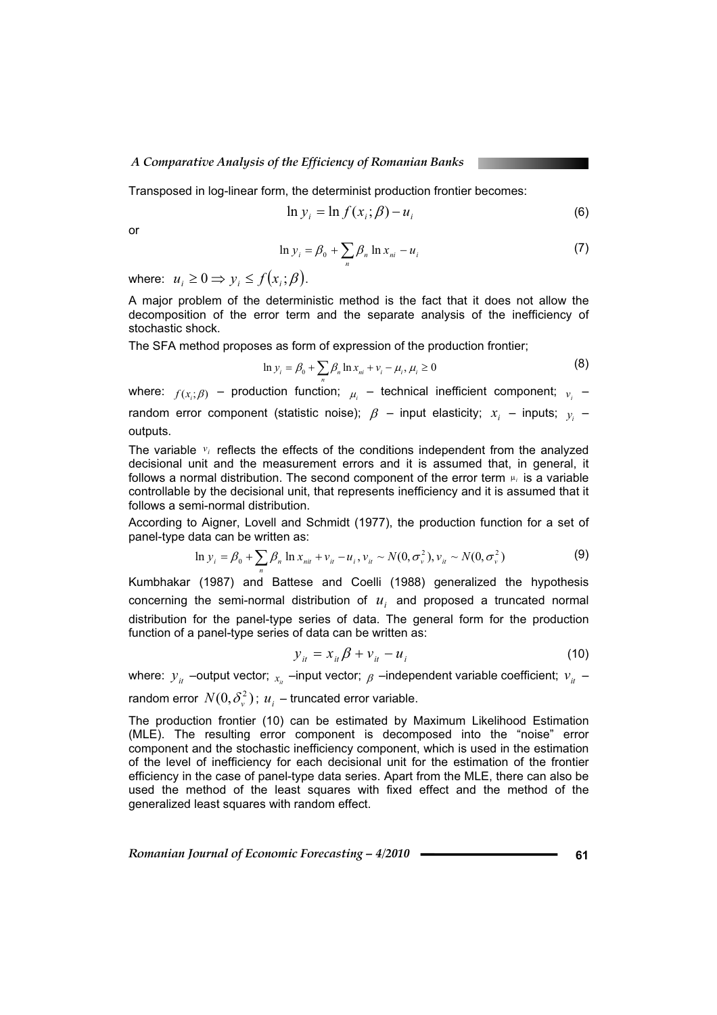#### *A Comparative Analysis of the Efficiency of Romanian Banks*

Transposed in log-linear form, the determinist production frontier becomes:

$$
\ln y_i = \ln f(x_i; \beta) - u_i \tag{6}
$$

or

$$
\ln y_i = \beta_0 + \sum_n \beta_n \ln x_{ni} - u_i \tag{7}
$$

where:  $u_i \geq 0 \Rightarrow y_i \leq f(x_i; \beta)$ .

A major problem of the deterministic method is the fact that it does not allow the decomposition of the error term and the separate analysis of the inefficiency of stochastic shock.

The SFA method proposes as form of expression of the production frontier;

$$
\ln y_i = \beta_0 + \sum_{n} \beta_n \ln x_{ni} + v_i - \mu_i, \mu_i \ge 0
$$
 (8)

where:  $f(x_i;\beta)$  – production function;  $\mu_i$  – technical inefficient component;  $v_i$  – random error component (statistic noise);  $\beta$  – input elasticity;  $x_i$  – inputs;  $y_i$  – outputs.

The variable  $v_i$  reflects the effects of the conditions independent from the analyzed decisional unit and the measurement errors and it is assumed that, in general, it follows a normal distribution. The second component of the error term  $\mu_i$  is a variable controllable by the decisional unit, that represents inefficiency and it is assumed that it follows a semi-normal distribution.

According to Aigner, Lovell and Schmidt (1977), the production function for a set of panel-type data can be written as:

$$
\ln y_i = \beta_0 + \sum_n \beta_n \ln x_{ni} + v_{it} - u_i, v_{it} \sim N(0, \sigma_v^2), v_{it} \sim N(0, \sigma_v^2)
$$
 (9)

Kumbhakar (1987) and Battese and Coelli (1988) generalized the hypothesis concerning the semi-normal distribution of  $u_i$  and proposed a truncated normal distribution for the panel-type series of data. The general form for the production function of a panel-type series of data can be written as:

$$
y_{ii} = x_{ii}\beta + v_{ii} - u_i
$$
 (10)

where:  $y_{it}$  –output vector;  $x_{it}$  –input vector;  $\beta$  –independent variable coefficient;  $v_{it}$  –

random error  $N(0,\delta_{\nu}^2)$ ;  $u_i$  – truncated error variable.

The production frontier (10) can be estimated by Maximum Likelihood Estimation (MLE). The resulting error component is decomposed into the "noise" error component and the stochastic inefficiency component, which is used in the estimation of the level of inefficiency for each decisional unit for the estimation of the frontier efficiency in the case of panel-type data series. Apart from the MLE, there can also be used the method of the least squares with fixed effect and the method of the generalized least squares with random effect.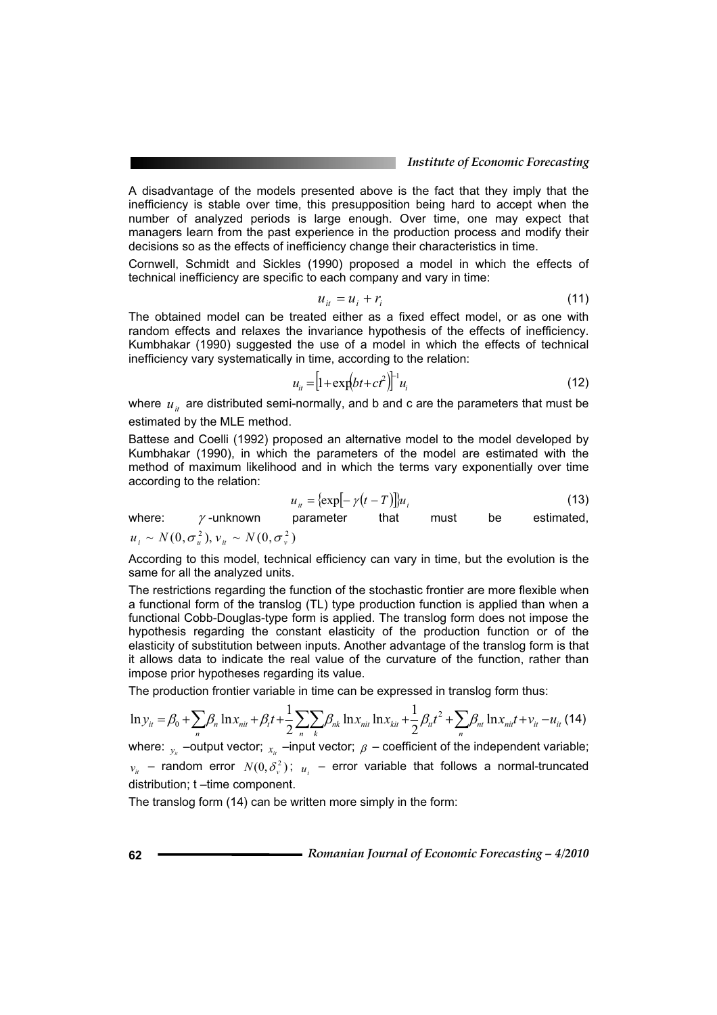A disadvantage of the models presented above is the fact that they imply that the inefficiency is stable over time, this presupposition being hard to accept when the number of analyzed periods is large enough. Over time, one may expect that managers learn from the past experience in the production process and modify their decisions so as the effects of inefficiency change their characteristics in time.

Cornwell, Schmidt and Sickles (1990) proposed a model in which the effects of technical inefficiency are specific to each company and vary in time:

$$
u_{it} = u_i + r_i \tag{11}
$$

The obtained model can be treated either as a fixed effect model, or as one with random effects and relaxes the invariance hypothesis of the effects of inefficiency. Kumbhakar (1990) suggested the use of a model in which the effects of technical inefficiency vary systematically in time, according to the relation:

$$
u_{it} = \left[1 + \exp(bt + ct^2)\right]^{-1} u_i \tag{12}
$$

where  $u_{i}$  are distributed semi-normally, and b and c are the parameters that must be estimated by the MLE method.

Battese and Coelli (1992) proposed an alternative model to the model developed by Kumbhakar (1990), in which the parameters of the model are estimated with the method of maximum likelihood and in which the terms vary exponentially over time according to the relation:

$$
u_{it} = {\exp[-\gamma(t-T)]} u_i
$$
\n(13)

where:  $\gamma$ -unknown parameter that must be estimated,  $u_i \sim N(0, \sigma_u^2), v_{i} \sim N(0, \sigma_v^2)$ 

According to this model, technical efficiency can vary in time, but the evolution is the same for all the analyzed units.

The restrictions regarding the function of the stochastic frontier are more flexible when a functional form of the translog (TL) type production function is applied than when a functional Cobb-Douglas-type form is applied. The translog form does not impose the hypothesis regarding the constant elasticity of the production function or of the elasticity of substitution between inputs. Another advantage of the translog form is that it allows data to indicate the real value of the curvature of the function, rather than impose prior hypotheses regarding its value.

The production frontier variable in time can be expressed in translog form thus:

$$
\ln y_{it} = \beta_0 + \sum_{n} \beta_n \ln x_{nit} + \beta_t t + \frac{1}{2} \sum_{n} \sum_{k} \beta_{nk} \ln x_{nit} \ln x_{kit} + \frac{1}{2} \beta_{it} t^2 + \sum_{n} \beta_{nt} \ln x_{nit} + v_{it} - u_{it}
$$
(14)

where:  $v_k$  –output vector;  $x_k$  –input vector;  $\beta$  – coefficient of the independent variable;  $v_{i}$  – random error  $N(0, \delta_{\nu}^2)$ ;  $u_{i}$  – error variable that follows a normal-truncated distribution; t –time component.

The translog form (14) can be written more simply in the form: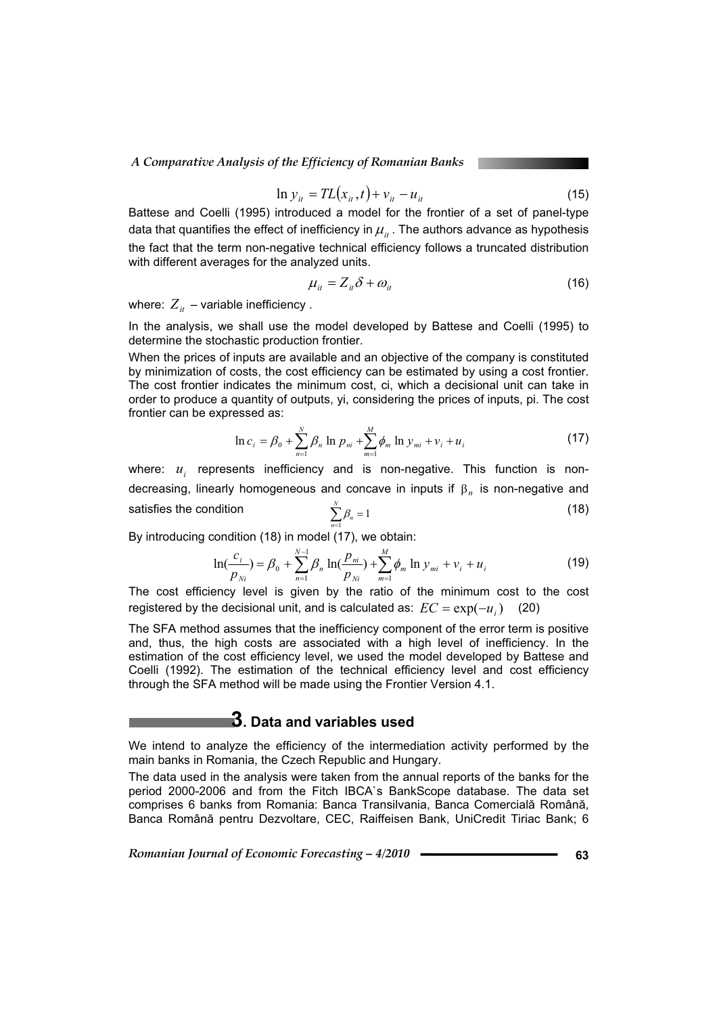$$
\ln y_{it} = TL(x_{it}, t) + v_{it} - u_{it}
$$
 (15)

Battese and Coelli (1995) introduced a model for the frontier of a set of panel-type data that quantifies the effect of inefficiency in  $\mu_{it}$ . The authors advance as hypothesis the fact that the term non-negative technical efficiency follows a truncated distribution with different averages for the analyzed units.

$$
\mu_{it} = Z_{it}\delta + \omega_{it} \tag{16}
$$

where:  $Z_{it}$  – variable inefficiency.

In the analysis, we shall use the model developed by Battese and Coelli (1995) to determine the stochastic production frontier.

When the prices of inputs are available and an objective of the company is constituted by minimization of costs, the cost efficiency can be estimated by using a cost frontier. The cost frontier indicates the minimum cost, ci, which a decisional unit can take in order to produce a quantity of outputs, yi, considering the prices of inputs, pi. The cost frontier can be expressed as:

$$
\ln c_i = \beta_0 + \sum_{n=1}^{N} \beta_n \ln p_{ni} + \sum_{m=1}^{M} \phi_m \ln y_{mi} + v_i + u_i
$$
 (17)

where: *u<sub>i</sub>* represents inefficiency and is non-negative. This function is nondecreasing, linearly homogeneous and concave in inputs if  $\beta_n$  is non-negative and satisfies the condition  $\sum_{n=1}^N \beta_n =$  $\sum_{n=1}^{\infty} \beta_n$  $(18)$ 

By introducing condition (18) in model (17), we obtain:

$$
\ln(\frac{c_i}{p_{Ni}}) = \beta_0 + \sum_{n=1}^{N-1} \beta_n \ln(\frac{p_{ni}}{p_{Ni}}) + \sum_{m=1}^{M} \phi_m \ln y_{mi} + v_i + u_i
$$
 (19)

The cost efficiency level is given by the ratio of the minimum cost to the cost registered by the decisional unit, and is calculated as:  $EC = \exp(-u_i)$  (20)

The SFA method assumes that the inefficiency component of the error term is positive and, thus, the high costs are associated with a high level of inefficiency. In the estimation of the cost efficiency level, we used the model developed by Battese and Coelli (1992). The estimation of the technical efficiency level and cost efficiency through the SFA method will be made using the Frontier Version 4.1.

# **3. Data and variables used**

We intend to analyze the efficiency of the intermediation activity performed by the main banks in Romania, the Czech Republic and Hungary.

The data used in the analysis were taken from the annual reports of the banks for the period 2000-2006 and from the Fitch IBCA`s BankScope database. The data set comprises 6 banks from Romania: Banca Transilvania, Banca Comercială Română, Banca Română pentru Dezvoltare, CEC, Raiffeisen Bank, UniCredit Tiriac Bank; 6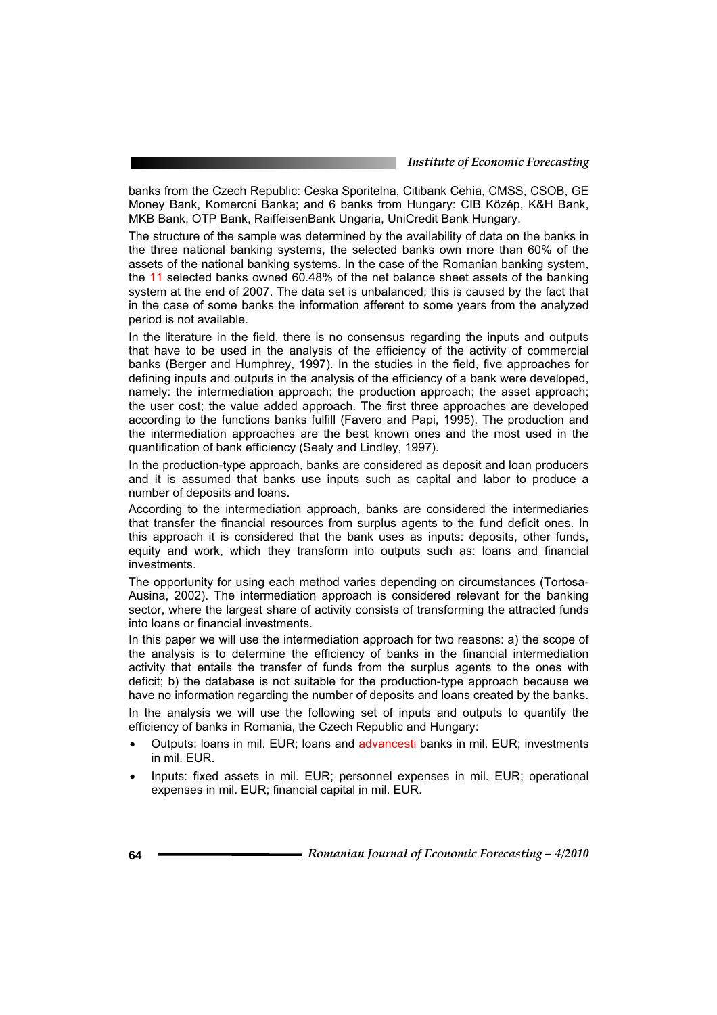banks from the Czech Republic: Ceska Sporitelna, Citibank Cehia, CMSS, CSOB, GE Money Bank, Komercni Banka; and 6 banks from Hungary: CIB Közép, K&H Bank, MKB Bank, OTP Bank, RaiffeisenBank Ungaria, UniCredit Bank Hungary.

The structure of the sample was determined by the availability of data on the banks in the three national banking systems, the selected banks own more than 60% of the assets of the national banking systems. In the case of the Romanian banking system, the 11 selected banks owned 60.48% of the net balance sheet assets of the banking system at the end of 2007. The data set is unbalanced; this is caused by the fact that in the case of some banks the information afferent to some years from the analyzed period is not available.

In the literature in the field, there is no consensus regarding the inputs and outputs that have to be used in the analysis of the efficiency of the activity of commercial banks (Berger and Humphrey, 1997). In the studies in the field, five approaches for defining inputs and outputs in the analysis of the efficiency of a bank were developed, namely: the intermediation approach; the production approach; the asset approach; the user cost; the value added approach. The first three approaches are developed according to the functions banks fulfill (Favero and Papi, 1995). The production and the intermediation approaches are the best known ones and the most used in the quantification of bank efficiency (Sealy and Lindley, 1997).

In the production-type approach, banks are considered as deposit and loan producers and it is assumed that banks use inputs such as capital and labor to produce a number of deposits and loans.

According to the intermediation approach, banks are considered the intermediaries that transfer the financial resources from surplus agents to the fund deficit ones. In this approach it is considered that the bank uses as inputs: deposits, other funds, equity and work, which they transform into outputs such as: loans and financial investments.

The opportunity for using each method varies depending on circumstances (Tortosa-Ausina, 2002). The intermediation approach is considered relevant for the banking sector, where the largest share of activity consists of transforming the attracted funds into loans or financial investments.

In this paper we will use the intermediation approach for two reasons: a) the scope of the analysis is to determine the efficiency of banks in the financial intermediation activity that entails the transfer of funds from the surplus agents to the ones with deficit; b) the database is not suitable for the production-type approach because we have no information regarding the number of deposits and loans created by the banks. In the analysis we will use the following set of inputs and outputs to quantify the

efficiency of banks in Romania, the Czech Republic and Hungary:

- Outputs: loans in mil. EUR; loans and advancesti banks in mil. EUR; investments in mil. EUR.
- Inputs: fixed assets in mil. EUR; personnel expenses in mil. EUR; operational expenses in mil. EUR; financial capital in mil. EUR.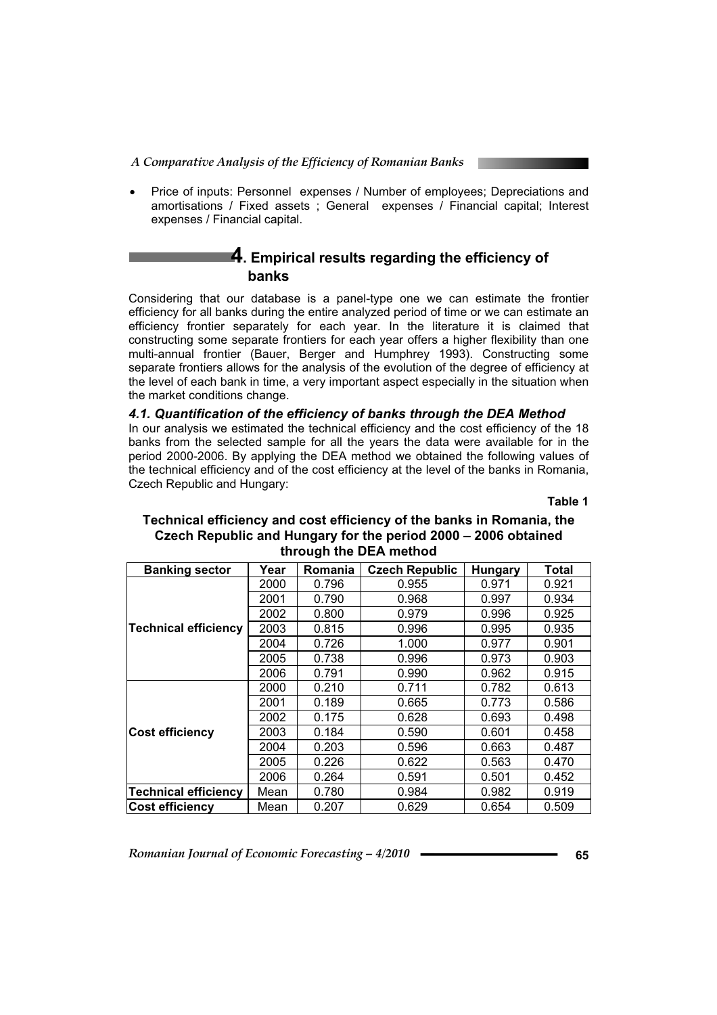Price of inputs: Personnel expenses / Number of employees; Depreciations and amortisations / Fixed assets ; General expenses / Financial capital; Interest expenses / Financial capital.

# **4. Empirical results regarding the efficiency of banks**

Considering that our database is a panel-type one we can estimate the frontier efficiency for all banks during the entire analyzed period of time or we can estimate an efficiency frontier separately for each year. In the literature it is claimed that constructing some separate frontiers for each year offers a higher flexibility than one multi-annual frontier (Bauer, Berger and Humphrey 1993). Constructing some separate frontiers allows for the analysis of the evolution of the degree of efficiency at the level of each bank in time, a very important aspect especially in the situation when the market conditions change.

### *4.1. Quantification of the efficiency of banks through the DEA Method*  In our analysis we estimated the technical efficiency and the cost efficiency of the 18 banks from the selected sample for all the years the data were available for in the period 2000-2006. By applying the DEA method we obtained the following values of the technical efficiency and of the cost efficiency at the level of the banks in Romania, Czech Republic and Hungary:

**Table 1** 

# **Technical efficiency and cost efficiency of the banks in Romania, the Czech Republic and Hungary for the period 2000 – 2006 obtained through the DEA method**

| <b>Banking sector</b>       | Year | Romania | <b>Czech Republic</b> | <b>Hungary</b> | <b>Total</b> |
|-----------------------------|------|---------|-----------------------|----------------|--------------|
|                             | 2000 | 0.796   | 0.955                 | 0.971          | 0.921        |
|                             | 2001 | 0.790   | 0.968                 | 0.997          | 0.934        |
|                             | 2002 | 0.800   | 0.979                 | 0.996          | 0.925        |
| <b>Technical efficiency</b> | 2003 | 0.815   | 0.996                 | 0.995          | 0.935        |
|                             | 2004 | 0.726   | 1.000                 | 0.977          | 0.901        |
|                             | 2005 | 0.738   | 0.996                 | 0.973          | 0.903        |
|                             | 2006 | 0.791   | 0.990                 | 0.962          | 0.915        |
| <b>Cost efficiency</b>      | 2000 | 0.210   | 0.711                 | 0.782          | 0.613        |
|                             | 2001 | 0.189   | 0.665                 | 0.773          | 0.586        |
|                             | 2002 | 0.175   | 0.628                 | 0.693          | 0.498        |
|                             | 2003 | 0.184   | 0.590                 | 0.601          | 0.458        |
|                             | 2004 | 0.203   | 0.596                 | 0.663          | 0.487        |
|                             | 2005 | 0.226   | 0.622                 | 0.563          | 0.470        |
|                             | 2006 | 0.264   | 0.591                 | 0.501          | 0.452        |
| <b>Technical efficiency</b> | Mean | 0.780   | 0.984                 | 0.982          | 0.919        |
| <b>Cost efficiency</b>      | Mean | 0.207   | 0.629                 | 0.654          | 0.509        |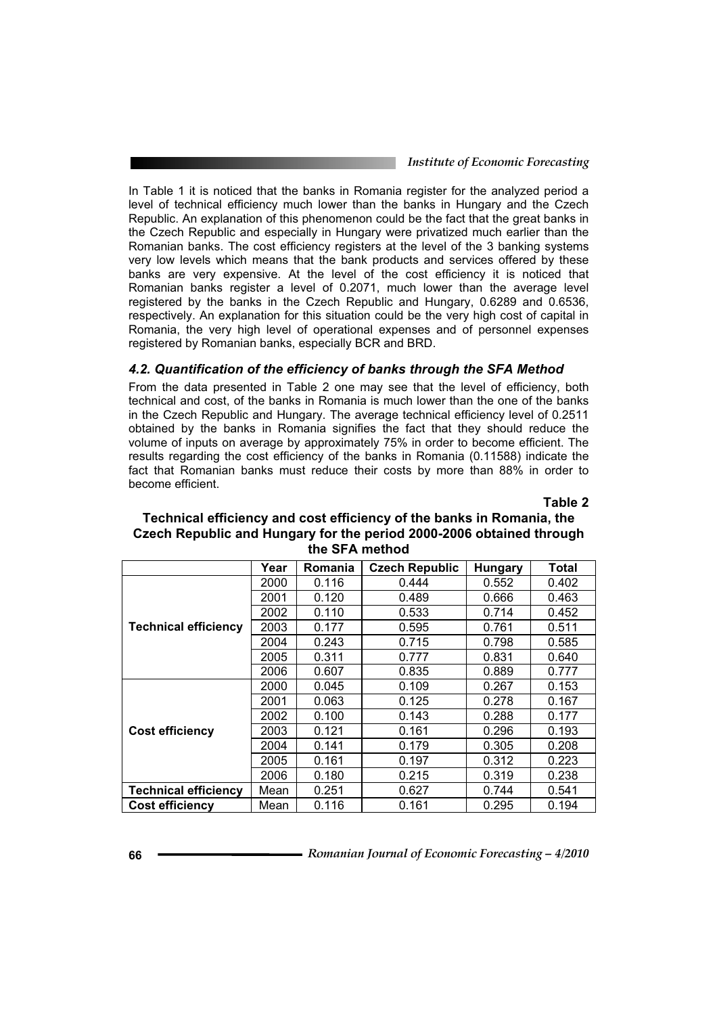*Institute of Economic Forecasting*

In Table 1 it is noticed that the banks in Romania register for the analyzed period a level of technical efficiency much lower than the banks in Hungary and the Czech Republic. An explanation of this phenomenon could be the fact that the great banks in the Czech Republic and especially in Hungary were privatized much earlier than the Romanian banks. The cost efficiency registers at the level of the 3 banking systems very low levels which means that the bank products and services offered by these banks are very expensive. At the level of the cost efficiency it is noticed that Romanian banks register a level of 0.2071, much lower than the average level registered by the banks in the Czech Republic and Hungary, 0.6289 and 0.6536, respectively. An explanation for this situation could be the very high cost of capital in Romania, the very high level of operational expenses and of personnel expenses registered by Romanian banks, especially BCR and BRD.

## *4.2. Quantification of the efficiency of banks through the SFA Method*

From the data presented in Table 2 one may see that the level of efficiency, both technical and cost, of the banks in Romania is much lower than the one of the banks in the Czech Republic and Hungary. The average technical efficiency level of 0.2511 obtained by the banks in Romania signifies the fact that they should reduce the volume of inputs on average by approximately 75% in order to become efficient. The results regarding the cost efficiency of the banks in Romania (0.11588) indicate the fact that Romanian banks must reduce their costs by more than 88% in order to become efficient.

**Table 2** 

|                             | Year | Romania | <b>Czech Republic</b> | <b>Hungary</b> | <b>Total</b> |  |  |
|-----------------------------|------|---------|-----------------------|----------------|--------------|--|--|
|                             | 2000 | 0.116   | 0.444                 | 0.552          | 0.402        |  |  |
|                             | 2001 | 0.120   | 0.489                 | 0.666          | 0.463        |  |  |
|                             | 2002 | 0.110   | 0.533                 | 0.714          | 0.452        |  |  |
| <b>Technical efficiency</b> | 2003 | 0.177   | 0.595                 | 0.761          | 0.511        |  |  |
|                             | 2004 | 0.243   | 0.715                 | 0.798          | 0.585        |  |  |
|                             | 2005 | 0.311   | 0.777                 | 0.831          | 0.640        |  |  |
|                             | 2006 | 0.607   | 0.835                 | 0.889          | 0.777        |  |  |
| <b>Cost efficiency</b>      | 2000 | 0.045   | 0.109                 | 0.267          | 0.153        |  |  |
|                             | 2001 | 0.063   | 0.125                 | 0.278          | 0.167        |  |  |
|                             | 2002 | 0.100   | 0.143                 | 0.288          | 0.177        |  |  |
|                             | 2003 | 0.121   | 0.161                 | 0.296          | 0.193        |  |  |
|                             | 2004 | 0.141   | 0.179                 | 0.305          | 0.208        |  |  |
|                             | 2005 | 0.161   | 0.197                 | 0.312          | 0.223        |  |  |
|                             | 2006 | 0.180   | 0.215                 | 0.319          | 0.238        |  |  |
| <b>Technical efficiency</b> | Mean | 0.251   | 0.627                 | 0.744          | 0.541        |  |  |
| <b>Cost efficiency</b>      | Mean | 0.116   | 0.161                 | 0.295          | 0.194        |  |  |

## **Technical efficiency and cost efficiency of the banks in Romania, the Czech Republic and Hungary for the period 2000-2006 obtained through the SFA method**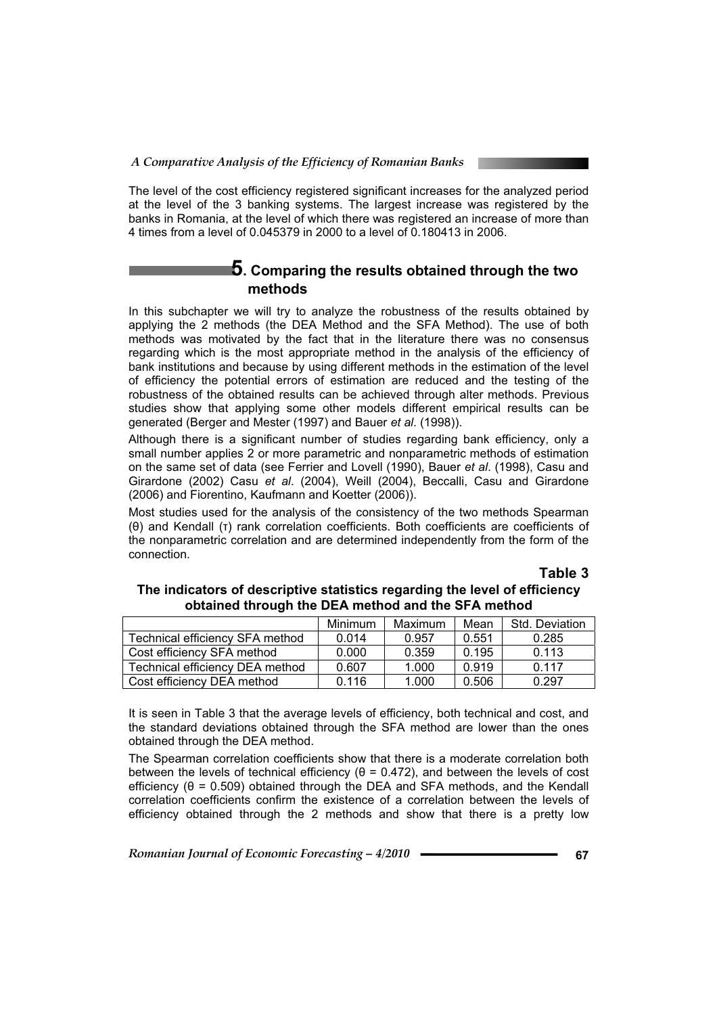The level of the cost efficiency registered significant increases for the analyzed period at the level of the 3 banking systems. The largest increase was registered by the banks in Romania, at the level of which there was registered an increase of more than 4 times from a level of 0.045379 in 2000 to a level of 0.180413 in 2006.

## **5. Comparing the results obtained through the two methods**

In this subchapter we will try to analyze the robustness of the results obtained by applying the 2 methods (the DEA Method and the SFA Method). The use of both methods was motivated by the fact that in the literature there was no consensus regarding which is the most appropriate method in the analysis of the efficiency of bank institutions and because by using different methods in the estimation of the level of efficiency the potential errors of estimation are reduced and the testing of the robustness of the obtained results can be achieved through alter methods. Previous studies show that applying some other models different empirical results can be generated (Berger and Mester (1997) and Bauer *et al*. (1998)).

Although there is a significant number of studies regarding bank efficiency, only a small number applies 2 or more parametric and nonparametric methods of estimation on the same set of data (see Ferrier and Lovell (1990), Bauer *et al*. (1998), Casu and Girardone (2002) Casu *et al*. (2004), Weill (2004), Beccalli, Casu and Girardone (2006) and Fiorentino, Kaufmann and Koetter (2006)).

Most studies used for the analysis of the consistency of the two methods Spearman  $(θ)$  and Kendall  $(τ)$  rank correlation coefficients. Both coefficients are coefficients of the nonparametric correlation and are determined independently from the form of the connection.

## **Table 3**

|                                 | Minimum | Maximum | Mean  | Std. Deviation |
|---------------------------------|---------|---------|-------|----------------|
| Technical efficiency SFA method | 0.014   | 0.957   | 0.551 | 0.285          |
| Cost efficiency SFA method      | 0.000   | 0.359   | 0.195 | 0.113          |
| Technical efficiency DEA method | 0.607   | 1.000   | 0.919 | 0.117          |
| Cost efficiency DEA method      | 0.116   | 1.000   | 0.506 | 0.297          |

## **The indicators of descriptive statistics regarding the level of efficiency obtained through the DEA method and the SFA method**

It is seen in Table 3 that the average levels of efficiency, both technical and cost, and the standard deviations obtained through the SFA method are lower than the ones obtained through the DEA method.

The Spearman correlation coefficients show that there is a moderate correlation both between the levels of technical efficiency  $(\theta = 0.472)$ , and between the levels of cost efficiency ( $\theta$  = 0.509) obtained through the DEA and SFA methods, and the Kendall correlation coefficients confirm the existence of a correlation between the levels of efficiency obtained through the 2 methods and show that there is a pretty low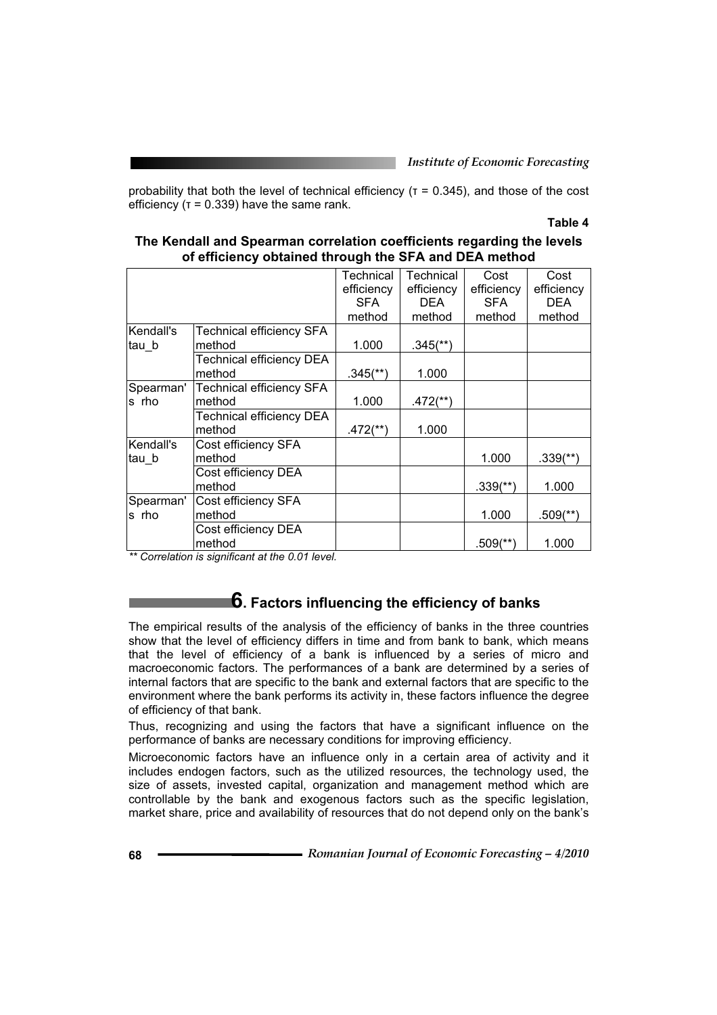probability that both the level of technical efficiency ( $T = 0.345$ ), and those of the cost efficiency ( $\tau$  = 0.339) have the same rank.

## **Table 4**

|                                 |                                    | Technical<br>efficiency | Technical<br>efficiency | Cost<br>efficiency       | Cost<br>efficiency     |
|---------------------------------|------------------------------------|-------------------------|-------------------------|--------------------------|------------------------|
|                                 |                                    | <b>SFA</b>              | <b>DEA</b>              | <b>SFA</b>               | DEA                    |
|                                 |                                    | method                  | method                  | method                   | method                 |
| Kendall's                       | <b>Technical efficiency SFA</b>    |                         |                         |                          |                        |
| tau b                           | method                             | 1.000                   | $.345$ <sup>**</sup> )  |                          |                        |
|                                 | <b>Technical efficiency DEA</b>    |                         |                         |                          |                        |
|                                 | method                             | $.345$ <sup>**</sup> )  | 1.000                   |                          |                        |
| Spearman'                       | <b>Technical efficiency SFA</b>    |                         |                         |                          |                        |
| s rho                           | method                             | 1.000                   | $.472$ <sup>**</sup> )  |                          |                        |
|                                 | <b>Technical efficiency DEA</b>    |                         |                         |                          |                        |
|                                 | method                             | $.472$ <sup>**</sup> )  | 1.000                   |                          |                        |
| Kendall's                       | Cost efficiency SFA                |                         |                         |                          |                        |
| ∣tau b                          | method                             |                         |                         | 1.000                    | $.339$ <sup>(**)</sup> |
|                                 | Cost efficiency DEA                |                         |                         |                          |                        |
|                                 | method                             |                         |                         | $.339$ <sup>(**)</sup> ) | 1.000                  |
| Spearman'                       | Cost efficiency SFA                |                         |                         |                          |                        |
| s rho                           | method                             |                         |                         | 1.000                    | $.509$ <sup>(**)</sup> |
|                                 | Cost efficiency DEA                |                         |                         |                          |                        |
| $\mathbf{r}$<br>$\cdot$ $\cdot$ | method<br>$\overline{\phantom{a}}$ |                         |                         | $.509$ <sup>(**)</sup>   | 1.000                  |

## **The Kendall and Spearman correlation coefficients regarding the levels of efficiency obtained through the SFA and DEA method**

*\*\* Correlation is significant at the 0.01 level.* 

# **6. Factors influencing the efficiency of banks**

The empirical results of the analysis of the efficiency of banks in the three countries show that the level of efficiency differs in time and from bank to bank, which means that the level of efficiency of a bank is influenced by a series of micro and macroeconomic factors. The performances of a bank are determined by a series of internal factors that are specific to the bank and external factors that are specific to the environment where the bank performs its activity in, these factors influence the degree of efficiency of that bank.

Thus, recognizing and using the factors that have a significant influence on the performance of banks are necessary conditions for improving efficiency.

Microeconomic factors have an influence only in a certain area of activity and it includes endogen factors, such as the utilized resources, the technology used, the size of assets, invested capital, organization and management method which are controllable by the bank and exogenous factors such as the specific legislation, market share, price and availability of resources that do not depend only on the bank's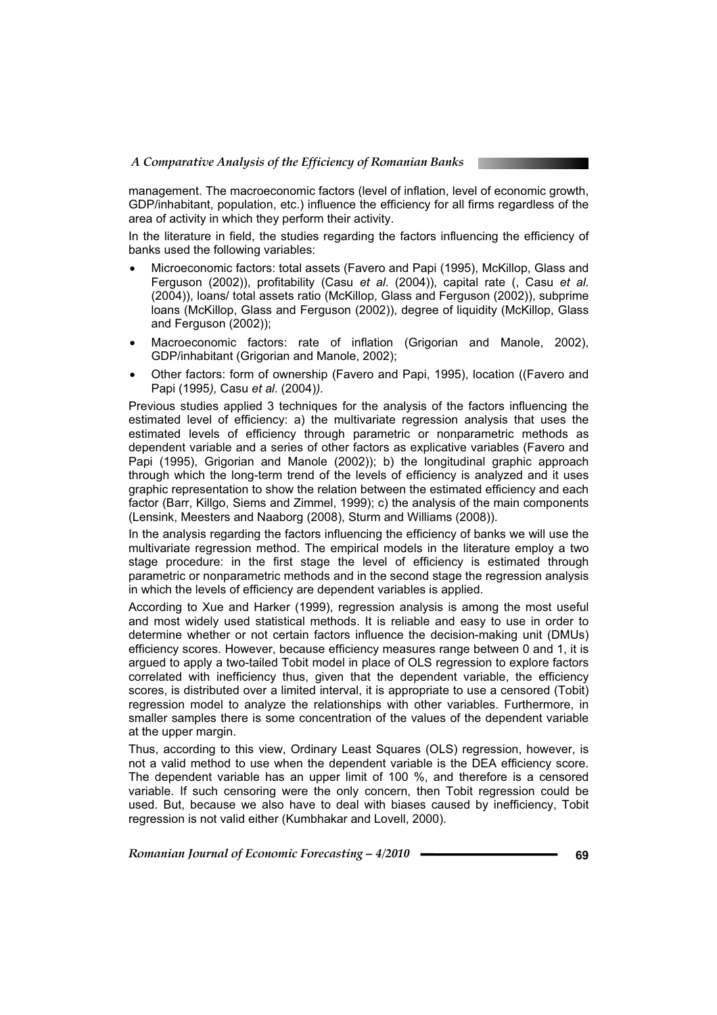management. The macroeconomic factors (level of inflation, level of economic growth, GDP/inhabitant, population, etc.) influence the efficiency for all firms regardless of the area of activity in which they perform their activity.

In the literature in field, the studies regarding the factors influencing the efficiency of banks used the following variables:

- Microeconomic factors: total assets (Favero and Papi (1995), McKillop, Glass and Ferguson (2002)), profitability (Casu *et al*. (2004)), capital rate (, Casu *et al*. (2004)), loans/ total assets ratio (McKillop, Glass and Ferguson (2002)), subprime loans (McKillop, Glass and Ferguson (2002)), degree of liquidity (McKillop, Glass and Ferguson (2002));
- Macroeconomic factors: rate of inflation (Grigorian and Manole, 2002), GDP/inhabitant (Grigorian and Manole, 2002);
- Other factors: form of ownership (Favero and Papi, 1995), location ((Favero and Papi (1995*),* Casu *et al*. (2004)*).*

Previous studies applied 3 techniques for the analysis of the factors influencing the estimated level of efficiency: a) the multivariate regression analysis that uses the estimated levels of efficiency through parametric or nonparametric methods as dependent variable and a series of other factors as explicative variables (Favero and Papi (1995), Grigorian and Manole (2002)); b) the longitudinal graphic approach through which the long-term trend of the levels of efficiency is analyzed and it uses graphic representation to show the relation between the estimated efficiency and each factor (Barr, Killgo, Siems and Zimmel, 1999); c) the analysis of the main components (Lensink, Meesters and Naaborg (2008), Sturm and Williams (2008)).

In the analysis regarding the factors influencing the efficiency of banks we will use the multivariate regression method. The empirical models in the literature employ a two stage procedure: in the first stage the level of efficiency is estimated through parametric or nonparametric methods and in the second stage the regression analysis in which the levels of efficiency are dependent variables is applied.

According to Xue and Harker (1999), regression analysis is among the most useful and most widely used statistical methods. It is reliable and easy to use in order to determine whether or not certain factors influence the decision-making unit (DMUs) efficiency scores. However, because efficiency measures range between 0 and 1, it is argued to apply a two-tailed Tobit model in place of OLS regression to explore factors correlated with inefficiency thus, given that the dependent variable, the efficiency scores, is distributed over a limited interval, it is appropriate to use a censored (Tobit) regression model to analyze the relationships with other variables. Furthermore, in smaller samples there is some concentration of the values of the dependent variable at the upper margin.

Thus, according to this view, Ordinary Least Squares (OLS) regression, however, is not a valid method to use when the dependent variable is the DEA efficiency score. The dependent variable has an upper limit of 100 %, and therefore is a censored variable. If such censoring were the only concern, then Tobit regression could be used. But, because we also have to deal with biases caused by inefficiency, Tobit regression is not valid either (Kumbhakar and Lovell, 2000).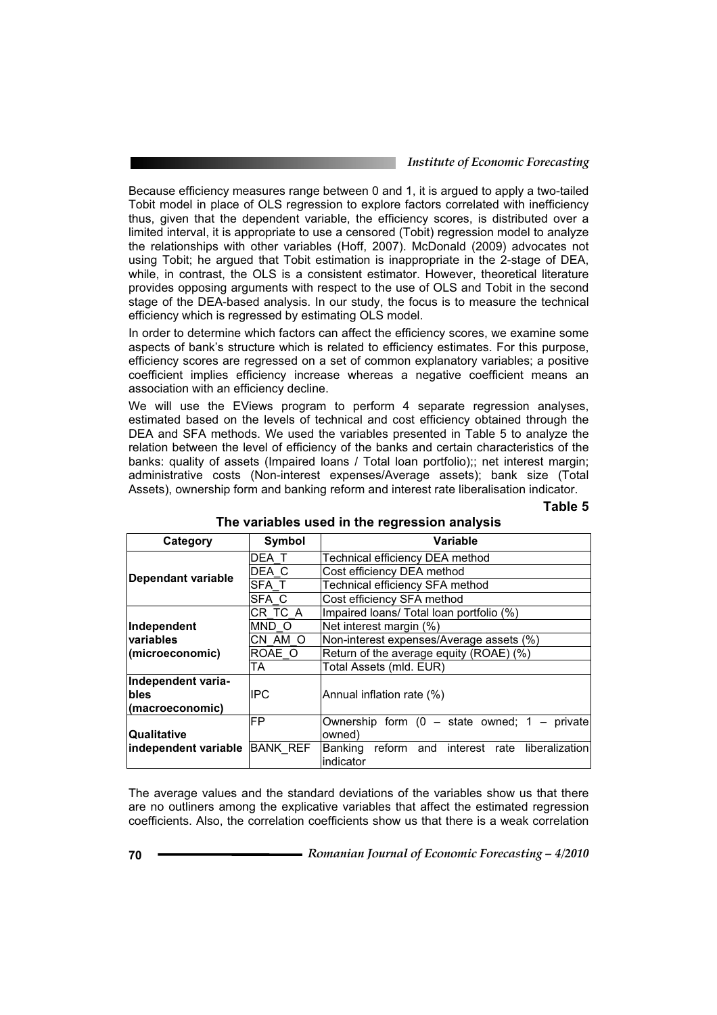#### *Institute of Economic Forecasting*

Because efficiency measures range between 0 and 1, it is argued to apply a two-tailed Tobit model in place of OLS regression to explore factors correlated with inefficiency thus, given that the dependent variable, the efficiency scores, is distributed over a limited interval, it is appropriate to use a censored (Tobit) regression model to analyze the relationships with other variables (Hoff, 2007). McDonald (2009) advocates not using Tobit; he argued that Tobit estimation is inappropriate in the 2-stage of DEA, while, in contrast, the OLS is a consistent estimator. However, theoretical literature provides opposing arguments with respect to the use of OLS and Tobit in the second stage of the DEA-based analysis. In our study, the focus is to measure the technical efficiency which is regressed by estimating OLS model.

In order to determine which factors can affect the efficiency scores, we examine some aspects of bank's structure which is related to efficiency estimates. For this purpose, efficiency scores are regressed on a set of common explanatory variables; a positive coefficient implies efficiency increase whereas a negative coefficient means an association with an efficiency decline.

We will use the EViews program to perform 4 separate regression analyses, estimated based on the levels of technical and cost efficiency obtained through the DEA and SFA methods. We used the variables presented in Table 5 to analyze the relation between the level of efficiency of the banks and certain characteristics of the banks: quality of assets (Impaired loans / Total loan portfolio);; net interest margin; administrative costs (Non-interest expenses/Average assets); bank size (Total Assets), ownership form and banking reform and interest rate liberalisation indicator.

#### **Table 5**

| Category             | Symbol          | Variable                                         |  |  |  |  |
|----------------------|-----------------|--------------------------------------------------|--|--|--|--|
|                      | DEA T           | Technical efficiency DEA method                  |  |  |  |  |
|                      | DEA C           | Cost efficiency DEA method                       |  |  |  |  |
| Dependant variable   | SFA T           | Technical efficiency SFA method                  |  |  |  |  |
|                      | SFA C           | Cost efficiency SFA method                       |  |  |  |  |
|                      | CR TC A         | Impaired Ioans/ Total Ioan portfolio (%)         |  |  |  |  |
| Independent          | MND O           | Net interest margin (%)                          |  |  |  |  |
| <b>variables</b>     | CN AM O         | Non-interest expenses/Average assets (%)         |  |  |  |  |
| (microeconomic)      | ROAE O          | Return of the average equity (ROAE) (%)          |  |  |  |  |
|                      | TA              | Total Assets (mld. EUR)                          |  |  |  |  |
| Independent varia-   |                 |                                                  |  |  |  |  |
| bles                 | IIPC            | Annual inflation rate (%)                        |  |  |  |  |
| (macroeconomic)      |                 |                                                  |  |  |  |  |
|                      | FP              | Ownership form $(0 - state$ owned; $1 - private$ |  |  |  |  |
| Qualitative          |                 | owned)                                           |  |  |  |  |
| independent variable | <b>BANK REF</b> | Banking reform and interest rate liberalization  |  |  |  |  |
|                      |                 | indicator                                        |  |  |  |  |

## **The variables used in the regression analysis**

The average values and the standard deviations of the variables show us that there are no outliners among the explicative variables that affect the estimated regression coefficients. Also, the correlation coefficients show us that there is a weak correlation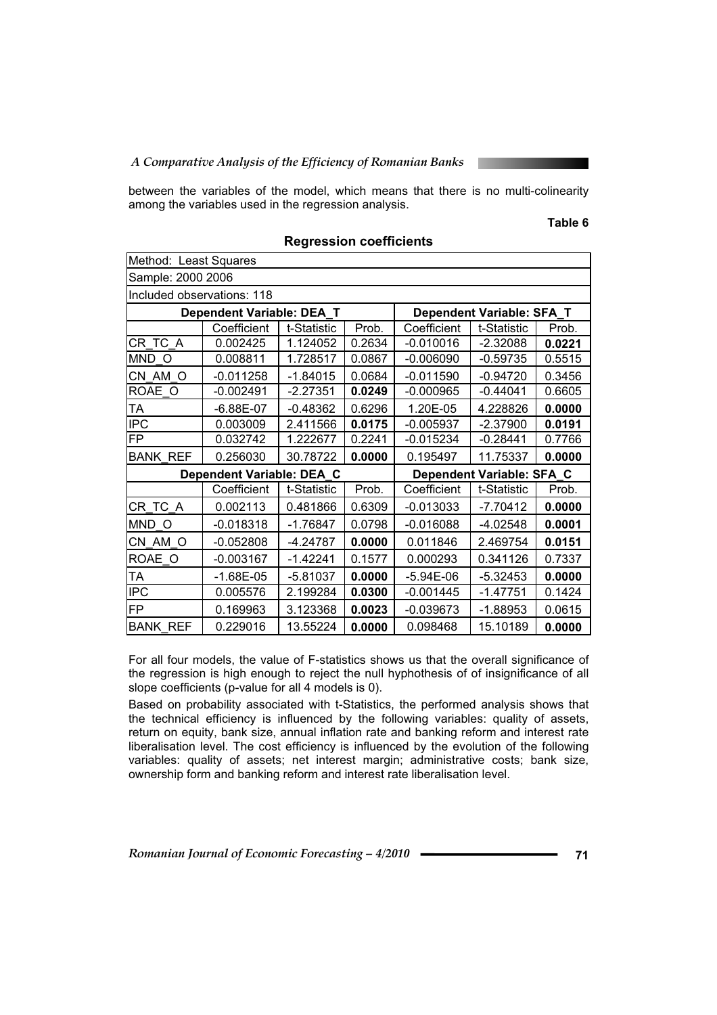*A Comparative Analysis of the Efficiency of Romanian Banks* 

between the variables of the model, which means that there is no multi-colinearity among the variables used in the regression analysis.

#### **Table 6**

| Method: Least Squares      |                           |                           |        |                           |             |        |  |
|----------------------------|---------------------------|---------------------------|--------|---------------------------|-------------|--------|--|
| Sample: 2000 2006          |                           |                           |        |                           |             |        |  |
| Included observations: 118 |                           |                           |        |                           |             |        |  |
|                            | Dependent Variable: DEA_T | Dependent Variable: SFA_T |        |                           |             |        |  |
|                            | Coefficient               | t-Statistic               | Prob.  | Coefficient               | t-Statistic | Prob.  |  |
| CR TC A                    | 0.002425                  | 1.124052                  | 0.2634 | $-0.010016$               | $-2.32088$  | 0.0221 |  |
| MND O                      | 0.008811                  | 1.728517                  | 0.0867 | $-0.006090$               | $-0.59735$  | 0.5515 |  |
| CN AM O                    | $-0.011258$               | $-1.84015$                | 0.0684 | $-0.011590$               | $-0.94720$  | 0.3456 |  |
| ROAE O                     | $-0.002491$               | $-2.27351$                | 0.0249 | $-0.000965$               | $-0.44041$  | 0.6605 |  |
| ТA                         | $-6.88E - 07$             | $-0.48362$                | 0.6296 | 1.20E-05                  | 4.228826    | 0.0000 |  |
| <b>IPC</b>                 | 0.003009                  | 2.411566                  | 0.0175 | $-0.005937$               | $-2.37900$  | 0.0191 |  |
| <b>FP</b>                  | 0.032742                  | 1.222677                  | 0.2241 | $-0.015234$               | $-0.28441$  | 0.7766 |  |
| <b>BANK REF</b>            | 0.256030                  | 30.78722                  | 0.0000 | 0.195497                  | 11.75337    | 0.0000 |  |
|                            | Dependent Variable: DEA C |                           |        | Dependent Variable: SFA C |             |        |  |
|                            | Coefficient               | t-Statistic               | Prob.  | Coefficient               | t-Statistic | Prob.  |  |
| CR TC A                    | 0.002113                  | 0.481866                  | 0.6309 | $-0.013033$               | $-7.70412$  | 0.0000 |  |
| MND O                      | $-0.018318$               | $-1.76847$                | 0.0798 | $-0.016088$               | $-4.02548$  | 0.0001 |  |
| CN AM O                    | $-0.052808$               | $-4.24787$                | 0.0000 | 0.011846                  | 2.469754    | 0.0151 |  |
| ROAE O                     | $-0.003167$               | $-1.42241$                | 0.1577 | 0.000293                  | 0.341126    | 0.7337 |  |
| ТA                         | $-1.68E-05$               | $-5.81037$                | 0.0000 | $-5.94E-06$               | $-5.32453$  | 0.0000 |  |
| <b>IPC</b>                 | 0.005576                  | 2.199284                  | 0.0300 | $-0.001445$               | $-1.47751$  | 0.1424 |  |
| <b>FP</b>                  | 0.169963                  | 3.123368                  | 0.0023 | $-0.039673$               | $-1.88953$  | 0.0615 |  |
| <b>BANK REF</b>            | 0.229016                  | 13.55224                  | 0.0000 | 0.098468                  | 15.10189    | 0.0000 |  |

**Regression coefficients**

For all four models, the value of F-statistics shows us that the overall significance of the regression is high enough to reject the null hyphothesis of of insignificance of all slope coefficients (p-value for all 4 models is 0).

Based on probability associated with t-Statistics, the performed analysis shows that the technical efficiency is influenced by the following variables: quality of assets, return on equity, bank size, annual inflation rate and banking reform and interest rate liberalisation level. The cost efficiency is influenced by the evolution of the following variables: quality of assets; net interest margin; administrative costs; bank size, ownership form and banking reform and interest rate liberalisation level.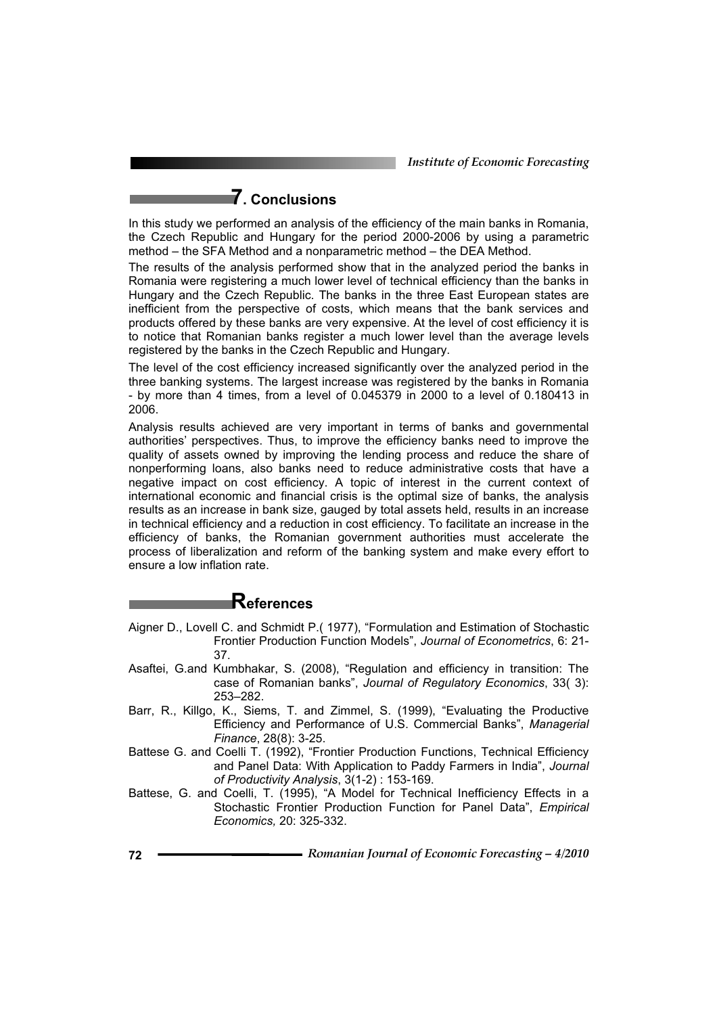*Institute of Economic Forecasting*

# **7. Conclusions**

In this study we performed an analysis of the efficiency of the main banks in Romania, the Czech Republic and Hungary for the period 2000-2006 by using a parametric method – the SFA Method and a nonparametric method – the DEA Method.

The results of the analysis performed show that in the analyzed period the banks in Romania were registering a much lower level of technical efficiency than the banks in Hungary and the Czech Republic. The banks in the three East European states are inefficient from the perspective of costs, which means that the bank services and products offered by these banks are very expensive. At the level of cost efficiency it is to notice that Romanian banks register a much lower level than the average levels registered by the banks in the Czech Republic and Hungary.

The level of the cost efficiency increased significantly over the analyzed period in the three banking systems. The largest increase was registered by the banks in Romania - by more than 4 times, from a level of 0.045379 in 2000 to a level of 0.180413 in 2006.

Analysis results achieved are very important in terms of banks and governmental authorities' perspectives. Thus, to improve the efficiency banks need to improve the quality of assets owned by improving the lending process and reduce the share of nonperforming loans, also banks need to reduce administrative costs that have a negative impact on cost efficiency. A topic of interest in the current context of international economic and financial crisis is the optimal size of banks, the analysis results as an increase in bank size, gauged by total assets held, results in an increase in technical efficiency and a reduction in cost efficiency. To facilitate an increase in the efficiency of banks, the Romanian government authorities must accelerate the process of liberalization and reform of the banking system and make every effort to ensure a low inflation rate.

# **References**

- Aigner D., Lovell C. and Schmidt P.( 1977), "Formulation and Estimation of Stochastic Frontier Production Function Models", *Journal of Econometrics*, 6: 21- 37.
- Asaftei, G.and Kumbhakar, S. (2008), "Regulation and efficiency in transition: The case of Romanian banks", *Journal of Regulatory Economics*, 33( 3): 253–282.
- Barr, R., Killgo, K., Siems, T. and Zimmel, S. (1999), "Evaluating the Productive Efficiency and Performance of U.S. Commercial Banks", *Managerial Finance*, 28(8): 3-25.
- Battese G. and Coelli T. (1992), "Frontier Production Functions, Technical Efficiency and Panel Data: With Application to Paddy Farmers in India", *Journal of Productivity Analysis*, 3(1-2) : 153-169.
- Battese, G. and Coelli, T. (1995), "A Model for Technical Inefficiency Effects in a Stochastic Frontier Production Function for Panel Data", *Empirical Economics,* 20: 325-332.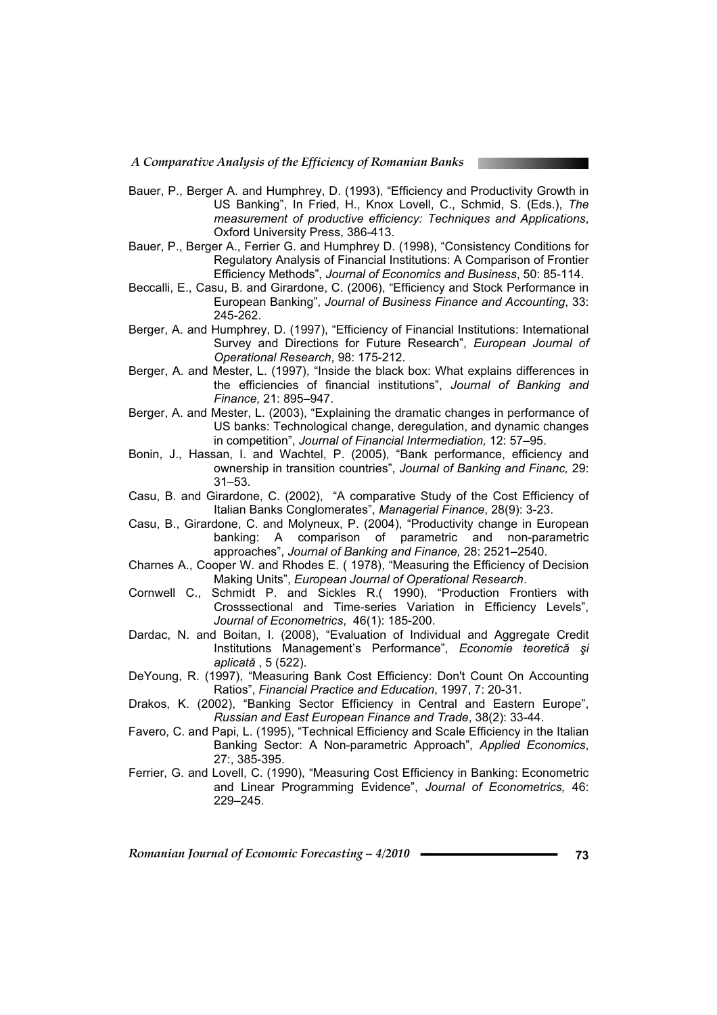- Bauer, P., Berger A. and Humphrey, D. (1993), "Efficiency and Productivity Growth in US Banking", In Fried, H., Knox Lovell, C., Schmid, S. (Eds.), *The measurement of productive efficiency: Techniques and Applications*, Oxford University Press, 386-413.
- Bauer, P., Berger A., Ferrier G. and Humphrey D. (1998), "Consistency Conditions for Regulatory Analysis of Financial Institutions: A Comparison of Frontier Efficiency Methods", *Journal of Economics and Business*, 50: 85-114.
- Beccalli, E., Casu, B. and Girardone, C. (2006), "Efficiency and Stock Performance in European Banking", *Journal of Business Finance and Accounting*, 33: 245-262.
- Berger, A. and Humphrey, D. (1997), "Efficiency of Financial Institutions: International Survey and Directions for Future Research", *European Journal of Operational Research*, 98: 175-212.
- Berger, A. and Mester, L. (1997), "Inside the black box: What explains differences in the efficiencies of financial institutions", *Journal of Banking and Finance,* 21: 895–947.
- Berger, A. and Mester, L. (2003), "Explaining the dramatic changes in performance of US banks: Technological change, deregulation, and dynamic changes in competition", *Journal of Financial Intermediation,* 12: 57–95.
- Bonin, J., Hassan, I. and Wachtel, P. (2005), "Bank performance, efficiency and ownership in transition countries", *Journal of Banking and Financ,* 29: 31–53.
- Casu, B. and Girardone, C. (2002), "A comparative Study of the Cost Efficiency of Italian Banks Conglomerates", *Managerial Finance*, 28(9): 3-23.
- Casu, B., Girardone, C. and Molyneux, P. (2004), "Productivity change in European banking: A comparison of parametric and non-parametric approaches", *Journal of Banking and Finance,* 28: 2521–2540.
- Charnes A., Cooper W. and Rhodes E. ( 1978), "Measuring the Efficiency of Decision Making Units", *European Journal of Operational Research*.
- Cornwell C., Schmidt P. and Sickles R.( 1990), "Production Frontiers with Crosssectional and Time-series Variation in Efficiency Levels", *Journal of Econometrics*, 46(1): 185-200.
- Dardac, N. and Boitan, I. (2008), "Evaluation of Individual and Aggregate Credit Institutions Management's Performance", *Economie teoretică* și *aplicată* , 5 (522).
- DeYoung, R. (1997), "Measuring Bank Cost Efficiency: Don't Count On Accounting Ratios", *Financial Practice and Education*, 1997, 7: 20-31.
- Drakos, K. (2002), "Banking Sector Efficiency in Central and Eastern Europe", *Russian and East European Finance and Trade*, 38(2): 33-44.
- Favero, C. and Papi, L. (1995), "Technical Efficiency and Scale Efficiency in the Italian Banking Sector: A Non-parametric Approach", *Applied Economics*, 27:, 385-395.
- Ferrier, G. and Lovell, C. (1990), "Measuring Cost Efficiency in Banking: Econometric and Linear Programming Evidence", *Journal of Econometrics,* 46: 229–245.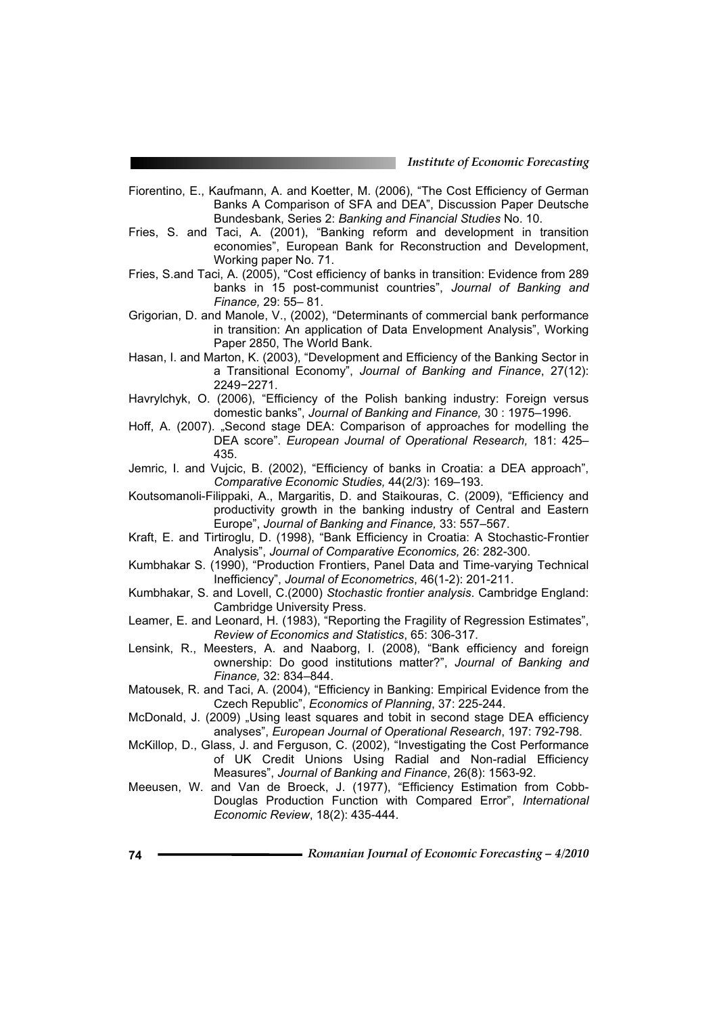- Fiorentino, E., Kaufmann, A. and Koetter, M. (2006), "The Cost Efficiency of German Banks A Comparison of SFA and DEA", Discussion Paper Deutsche Bundesbank, Series 2: *Banking and Financial Studies* No. 10.
- Fries, S. and Taci, A. (2001), "Banking reform and development in transition economies", European Bank for Reconstruction and Development, Working paper No. 71.
- Fries, S.and Taci, A. (2005), "Cost efficiency of banks in transition: Evidence from 289 banks in 15 post-communist countries", *Journal of Banking and Finance,* 29: 55– 81.
- Grigorian, D. and Manole, V., (2002), "Determinants of commercial bank performance in transition: An application of Data Envelopment Analysis", Working Paper 2850, The World Bank.
- Hasan, I. and Marton, K. (2003), "Development and Efficiency of the Banking Sector in a Transitional Economy", *Journal of Banking and Finance*, 27(12): 2249-2271.
- Havrylchyk, O. (2006), "Efficiency of the Polish banking industry: Foreign versus domestic banks", *Journal of Banking and Finance,* 30 : 1975–1996.
- Hoff, A. (2007). "Second stage DEA: Comparison of approaches for modelling the DEA score". *European Journal of Operational Research,* 181: 425– 435.
- Jemric, I. and Vujcic, B. (2002), "Efficiency of banks in Croatia: a DEA approach", *Comparative Economic Studies,* 44(2/3): 169–193.
- Koutsomanoli-Filippaki, A., Margaritis, D. and Staikouras, C. (2009), "Efficiency and productivity growth in the banking industry of Central and Eastern Europe", *Journal of Banking and Finance,* 33: 557–567.
- Kraft, E. and Tirtiroglu, D. (1998), "Bank Efficiency in Croatia: A Stochastic-Frontier Analysis", *Journal of Comparative Economics,* 26: 282-300.
- Kumbhakar S. (1990), "Production Frontiers, Panel Data and Time-varying Technical Inefficiency", *Journal of Econometrics*, 46(1-2): 201-211.
- Kumbhakar, S. and Lovell, C.(2000) *Stochastic frontier analysis*. Cambridge England: Cambridge University Press.
- Leamer, E. and Leonard, H. (1983), "Reporting the Fragility of Regression Estimates", *Review of Economics and Statistics*, 65: 306-317.
- Lensink, R., Meesters, A. and Naaborg, I. (2008), "Bank efficiency and foreign ownership: Do good institutions matter?", *Journal of Banking and Finance,* 32: 834–844.
- Matousek, R. and Taci, A. (2004), "Efficiency in Banking: Empirical Evidence from the Czech Republic", *Economics of Planning*, 37: 225-244.
- McDonald, J. (2009) "Using least squares and tobit in second stage DEA efficiency analyses", *European Journal of Operational Research*, 197: 792-798.
- McKillop, D., Glass, J. and Ferguson, C. (2002), "Investigating the Cost Performance of UK Credit Unions Using Radial and Non-radial Efficiency Measures", *Journal of Banking and Finance*, 26(8): 1563-92.
- Meeusen, W. and Van de Broeck, J. (1977), "Efficiency Estimation from Cobb-Douglas Production Function with Compared Error", *International Economic Review*, 18(2): 435-444.